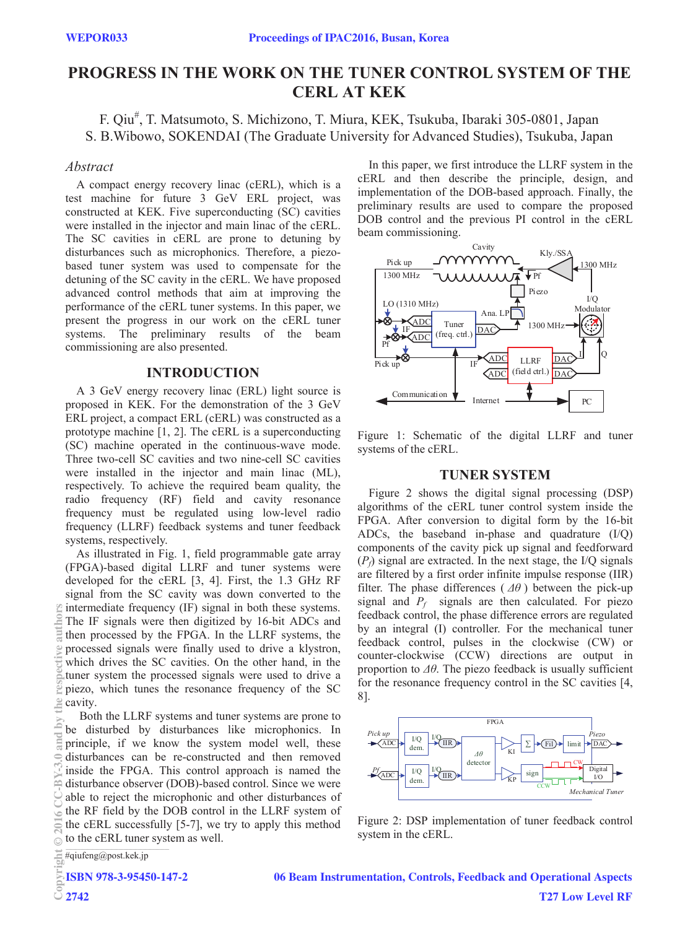# **PROGRESS IN THE WORK ON THE TUNER CONTROL SYSTEM OF THE CERL AT KEK**

F. Qiu<sup>#</sup>, T. Matsumoto, S. Michizono, T. Miura, KEK, Tsukuba, Ibaraki 305-0801, Japan S. B.Wibowo, SOKENDAI (The Graduate University for Advanced Studies), Tsukuba, Japan

#### *Abstract*

A compact energy recovery linac (cERL), which is a test machine for future 3 GeV ERL project, was constructed at KEK. Five superconducting (SC) cavities were installed in the injector and main linac of the cERL. The SC cavities in cERL are prone to detuning by disturbances such as microphonics. Therefore, a piezobased tuner system was used to compensate for the detuning of the SC cavity in the cERL. We have proposed advanced control methods that aim at improving the performance of the cERL tuner systems. In this paper, we present the progress in our work on the cERL tuner systems. The preliminary results of the beam commissioning are also presented.

### **INTRODUCTION**

A 3 GeV energy recovery linac (ERL) light source is proposed in KEK. For the demonstration of the 3 GeV ERL project, a compact ERL (cERL) was constructed as a prototype machine [1, 2]. The cERL is a superconducting (SC) machine operated in the continuous-wave mode. Three two-cell SC cavities and two nine-cell SC cavities were installed in the injector and main linac (ML), respectively. To achieve the required beam quality, the radio frequency (RF) field and cavity resonance frequency must be regulated using low-level radio frequency (LLRF) feedback systems and tuner feedback systems, respectively.

As illustrated in Fig. 1, field programmable gate array (FPGA)-based digital LLRF and tuner systems were developed for the cERL [3, 4]. First, the 1.3 GHz RF signal from the SC cavity was down converted to the intermediate frequency (IF) signal in both these systems. The IF signals were then digitized by 16-bit ADCs and then processed by the FPGA. In the LLRF systems, the processed signals were finally used to drive a klystron, which drives the SC cavities. On the other hand, in the tuner system the processed signals were used to drive a piezo, which tunes the resonance frequency of the SC cavity.

 Both the LLRF systems and tuner systems are prone to be disturbed by disturbances like microphonics. In principle, if we know the system model well, these disturbances can be re-constructed and then removed inside the FPGA. This control approach is named the disturbance observer (DOB)-based control. Since we were able to reject the microphonic and other disturbances of the RF field by the DOB control in the LLRF system of the cERL successfully [5-7], we try to apply this method to the cERL tuner system as well. System in the cERL. Copyright Copyright Copyright Copyright Copyright Copyright Copyright Copyright Copyright Copyright Copyright Copyright Copyright Copyright Copyright Copyright Copyright Copyright Copyright Copyright Copyright Copyright C

In this paper, we first introduce the LLRF system in the cERL and then describe the principle, design, and implementation of the DOB-based approach. Finally, the preliminary results are used to compare the proposed DOB control and the previous PI control in the cERL beam commissioning.



Figure 1: Schematic of the digital LLRF and tuner systems of the cERL.

## **TUNER SYSTEM**

Figure 2 shows the digital signal processing (DSP) algorithms of the cERL tuner control system inside the FPGA. After conversion to digital form by the 16-bit ADCs, the baseband in-phase and quadrature (I/Q) components of the cavity pick up signal and feedforward  $(P_f)$  signal are extracted. In the next stage, the I/Q signals are filtered by a first order infinite impulse response (IIR) filter. The phase differences ( *Δθ* ) between the pick-up signal and  $P_f$  signals are then calculated. For piezo feedback control, the phase difference errors are regulated by an integral (I) controller. For the mechanical tuner feedback control, pulses in the clockwise (CW) or counter-clockwise (CCW) directions are output in proportion to *Δθ*. The piezo feedback is usually sufficient for the resonance frequency control in the SC cavities [4, 8].



Figure 2: DSP implementation of tuner feedback control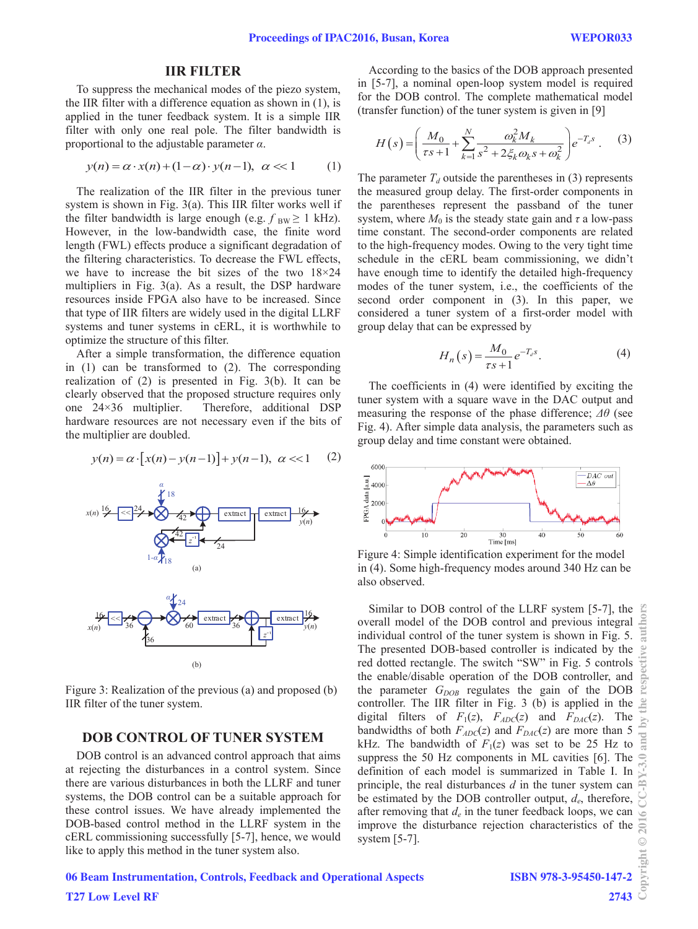#### **IIR FILTER**

To suppress the mechanical modes of the piezo system, the IIR filter with a difference equation as shown in (1), is applied in the tuner feedback system. It is a simple IIR filter with only one real pole. The filter bandwidth is proportional to the adjustable parameter *α*.

$$
y(n) = \alpha \cdot x(n) + (1 - \alpha) \cdot y(n - 1), \quad \alpha \ll 1 \tag{1}
$$

The realization of the IIR filter in the previous tuner system is shown in Fig. 3(a). This IIR filter works well if the filter bandwidth is large enough (e.g.  $f_{BW} \ge 1$  kHz). However, in the low-bandwidth case, the finite word length (FWL) effects produce a significant degradation of the filtering characteristics. To decrease the FWL effects, we have to increase the bit sizes of the two 18×24 multipliers in Fig. 3(a). As a result, the DSP hardware resources inside FPGA also have to be increased. Since that type of IIR filters are widely used in the digital LLRF systems and tuner systems in cERL, it is worthwhile to optimize the structure of this filter.

After a simple transformation, the difference equation in (1) can be transformed to (2). The corresponding realization of (2) is presented in Fig. 3(b). It can be clearly observed that the proposed structure requires only one 24×36 multiplier. Therefore, additional DSP hardware resources are not necessary even if the bits of the multiplier are doubled.

$$
y(n) = \alpha \cdot [x(n) - y(n-1)] + y(n-1), \ \alpha < 1 \tag{2}
$$



Figure 3: Realization of the previous (a) and proposed (b) IIR filter of the tuner system.

#### **DOB CONTROL OF TUNER SYSTEM**

DOB control is an advanced control approach that aims at rejecting the disturbances in a control system. Since there are various disturbances in both the LLRF and tuner systems, the DOB control can be a suitable approach for these control issues. We have already implemented the DOB-based control method in the LLRF system in the cERL commissioning successfully [5-7], hence, we would like to apply this method in the tuner system also.

According to the basics of the DOB approach presented in [5-7], a nominal open-loop system model is required for the DOB control. The complete mathematical model (transfer function) of the tuner system is given in [9]

$$
H(s) = \left(\frac{M_0}{\tau s + 1} + \sum_{k=1}^{N} \frac{\omega_k^2 M_k}{s^2 + 2\xi_k \omega_k s + \omega_k^2}\right) e^{-T_d s} \ . \tag{3}
$$

The parameter  $T_d$  outside the parentheses in (3) represents the measured group delay. The first-order components in the parentheses represent the passband of the tuner system, where  $M_0$  is the steady state gain and  $\tau$  a low-pass time constant. The second-order components are related to the high-frequency modes. Owing to the very tight time schedule in the cERL beam commissioning, we didn't have enough time to identify the detailed high-frequency modes of the tuner system, i.e., the coefficients of the second order component in (3). In this paper, we considered a tuner system of a first-order model with group delay that can be expressed by

$$
H_n(s) = \frac{M_0}{\tau s + 1} e^{-T_d s}.
$$
 (4)

The coefficients in (4) were identified by exciting the tuner system with a square wave in the DAC output and measuring the response of the phase difference; *Δθ* (see Fig. 4). After simple data analysis, the parameters such as group delay and time constant were obtained.



Figure 4: Simple identification experiment for the model in (4). Some high-frequency modes around 340 Hz can be also observed.

Similar to DOB control of the LLRF system [5-7], the Copyright  $\odot$  2016 CC-BY-3.0 and by the respective authors overall model of the DOB control and previous integral individual control of the tuner system is shown in Fig. 5. The presented DOB-based controller is indicated by the red dotted rectangle. The switch "SW" in Fig. 5 controls the enable/disable operation of the DOB controller, and the parameter  $G_{DOB}$  regulates the gain of the DOB controller. The IIR filter in Fig. 3 (b) is applied in the digital filters of  $F_1(z)$ ,  $F_{ADC}(z)$  and  $F_{DAC}(z)$ . The  $\geq$ bandwidths of both  $F_{ADC}(z)$  and  $F_{DAC}(z)$  are more than 5 kHz. The bandwidth of  $F_1(z)$  was set to be 25 Hz to suppress the 50 Hz components in ML cavities [6]. The definition of each model is summarized in Table I. In principle, the real disturbances *d* in the tuner system can be estimated by the DOB controller output, *de*, therefore, after removing that  $d_e$  in the tuner feedback loops, we can improve the disturbance rejection characteristics of the system  $[5-7]$ .  $\odot$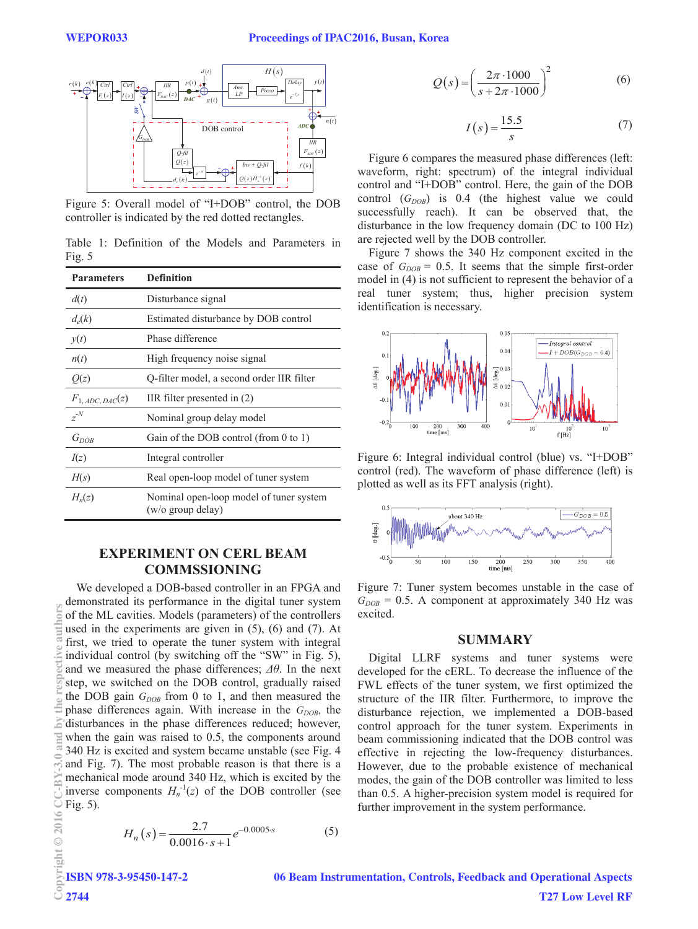

Figure 5: Overall model of "I+DOB" control, the DOB controller is indicated by the red dotted rectangles.

Table 1: Definition of the Models and Parameters in Fig. 5

| <b>Parameters</b>    | <b>Definition</b>                                            |
|----------------------|--------------------------------------------------------------|
| d(t)                 | Disturbance signal                                           |
| $d_e(k)$             | Estimated disturbance by DOB control                         |
| y(t)                 | Phase difference                                             |
| n(t)                 | High frequency noise signal                                  |
| Q(z)                 | Q-filter model, a second order IIR filter                    |
| $F_{1, ADC, DAC}(z)$ | IIR filter presented in (2)                                  |
| $z^{N}$              | Nominal group delay model                                    |
| $G_{DOB}$            | Gain of the DOB control (from 0 to 1)                        |
| I(z)                 | Integral controller                                          |
| H(s)                 | Real open-loop model of tuner system                         |
| $H_n(z)$             | Nominal open-loop model of tuner system<br>(w/o group delay) |

# **EXPERIMENT ON CERL BEAM COMMSSIONING**

We developed a DOB-based controller in an FPGA and demonstrated its performance in the digital tuner system of the ML cavities. Models (parameters) of the controllers used in the experiments are given in (5), (6) and (7). At first, we tried to operate the tuner system with integral individual control (by switching off the "SW" in Fig. 5), and we measured the phase differences; *Δθ*. In the next step, we switched on the DOB control, gradually raised the DOB gain  $G_{DOB}$  from 0 to 1, and then measured the phase differences again. With increase in the  $G_{DOB}$ , the disturbances in the phase differences reduced; however, when the gain was raised to 0.5, the components around 340 Hz is excited and system became unstable (see Fig. 4 and Fig. 7). The most probable reason is that there is a mechanical mode around 340 Hz, which is excited by the inverse components  $H_n^{-1}(z)$  of the DOB controller (see Fig. 5). Copyright Copyright Copyright Copyright Copyright Copyright Copyright Copyright Copyright Copyright Copyright Copyright Copyright Copyright Copyright Copyright Copyright Copyright Copyright Copyright Copyright Copyright C

$$
H_n(s) = \frac{2.7}{0.0016 \cdot s + 1} e^{-0.0005 \cdot s} \tag{5}
$$

 $Q(s) = \left(\frac{2\pi \cdot 1000}{2.2 \cdot 1000}\right)^2$  $Q(s) = \left(\frac{2\pi \cdot 1000}{s + 2\pi \cdot 1000}\right)$  $=\left(\frac{2\pi\cdot1000}{s+2\pi\cdot1000}\right)$ (6)

$$
I(s) = \frac{15.5}{s} \tag{7}
$$

Figure 6 compares the measured phase differences (left: waveform, right: spectrum) of the integral individual control and "I+DOB" control. Here, the gain of the DOB control  $(G_{DOB})$  is 0.4 (the highest value we could successfully reach). It can be observed that, the disturbance in the low frequency domain (DC to 100 Hz) are rejected well by the DOB controller.

Figure 7 shows the 340 Hz component excited in the case of  $G_{DOB}$  = 0.5. It seems that the simple first-order model in (4) is not sufficient to represent the behavior of a real tuner system; thus, higher precision system identification is necessary.



Figure 6: Integral individual control (blue) vs. "I+DOB" control (red). The waveform of phase difference (left) is plotted as well as its FFT analysis (right).



Figure 7: Tuner system becomes unstable in the case of  $G_{DOB} = 0.5$ . A component at approximately 340 Hz was excited.

#### **SUMMARY**

Digital LLRF systems and tuner systems were developed for the cERL. To decrease the influence of the FWL effects of the tuner system, we first optimized the structure of the IIR filter. Furthermore, to improve the disturbance rejection, we implemented a DOB-based control approach for the tuner system. Experiments in beam commissioning indicated that the DOB control was effective in rejecting the low-frequency disturbances. However, due to the probable existence of mechanical modes, the gain of the DOB controller was limited to less than 0.5. A higher-precision system model is required for further improvement in the system performance.

**OTO**